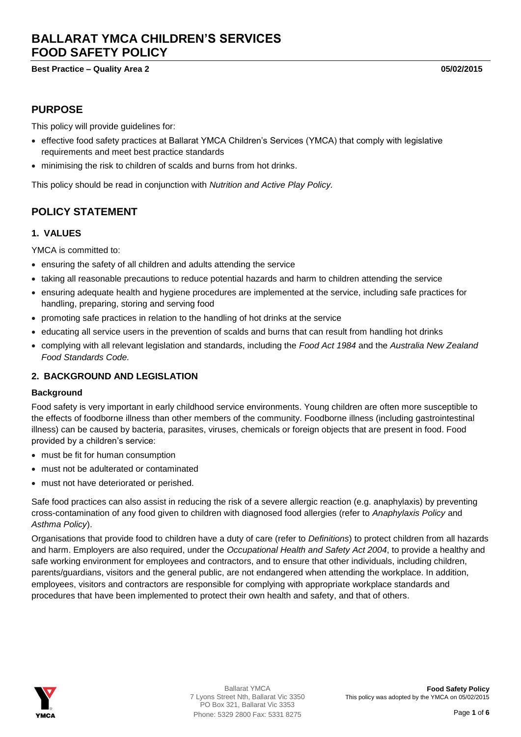# **BALLARAT YMCA CHILDREN'S SERVICES FOOD SAFETY POLICY**

**Best Practice – Quality Area 2 05/02/2015**

### **PURPOSE**

This policy will provide guidelines for:

- effective food safety practices at Ballarat YMCA Children's Services (YMCA) that comply with legislative requirements and meet best practice standards
- minimising the risk to children of scalds and burns from hot drinks.

This policy should be read in conjunction with *Nutrition and Active Play Policy.*

# **POLICY STATEMENT**

#### **1. VALUES**

YMCA is committed to:

- ensuring the safety of all children and adults attending the service
- taking all reasonable precautions to reduce potential hazards and harm to children attending the service
- ensuring adequate health and hygiene procedures are implemented at the service, including safe practices for handling, preparing, storing and serving food
- promoting safe practices in relation to the handling of hot drinks at the service
- educating all service users in the prevention of scalds and burns that can result from handling hot drinks
- complying with all relevant legislation and standards, including the *Food Act 1984* and the *Australia New Zealand Food Standards Code.*

#### **2. BACKGROUND AND LEGISLATION**

#### **Background**

Food safety is very important in early childhood service environments. Young children are often more susceptible to the effects of foodborne illness than other members of the community. Foodborne illness (including gastrointestinal illness) can be caused by bacteria, parasites, viruses, chemicals or foreign objects that are present in food. Food provided by a children's service:

- must be fit for human consumption
- must not be adulterated or contaminated
- must not have deteriorated or perished.

Safe food practices can also assist in reducing the risk of a severe allergic reaction (e.g. anaphylaxis) by preventing cross-contamination of any food given to children with diagnosed food allergies (refer to *Anaphylaxis Policy* and *Asthma Policy*).

Organisations that provide food to children have a duty of care (refer to *Definitions*) to protect children from all hazards and harm. Employers are also required, under the *Occupational Health and Safety Act 2004*, to provide a healthy and safe working environment for employees and contractors, and to ensure that other individuals, including children, parents/guardians, visitors and the general public, are not endangered when attending the workplace. In addition, employees, visitors and contractors are responsible for complying with appropriate workplace standards and procedures that have been implemented to protect their own health and safety, and that of others.

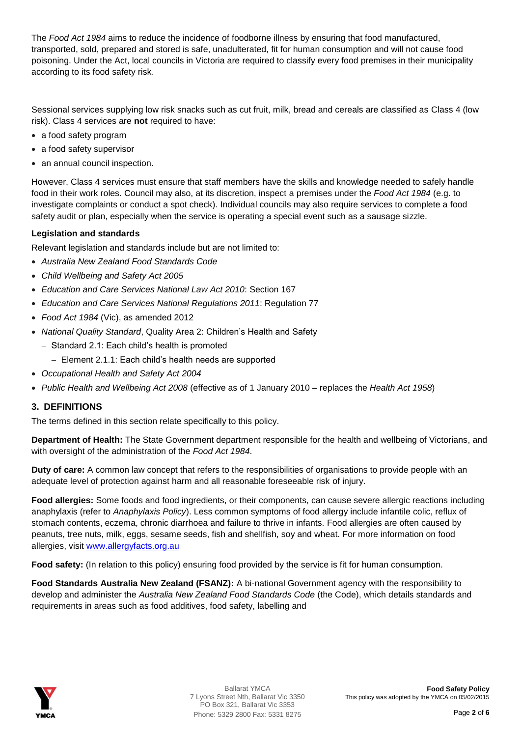The *Food Act 1984* aims to reduce the incidence of foodborne illness by ensuring that food manufactured, transported, sold, prepared and stored is safe, unadulterated, fit for human consumption and will not cause food poisoning. Under the Act, local councils in Victoria are required to classify every food premises in their municipality according to its food safety risk.

Sessional services supplying low risk snacks such as cut fruit, milk, bread and cereals are classified as Class 4 (low risk). Class 4 services are **not** required to have:

- a food safety program
- a food safety supervisor
- an annual council inspection.

However, Class 4 services must ensure that staff members have the skills and knowledge needed to safely handle food in their work roles. Council may also, at its discretion, inspect a premises under the *Food Act 1984* (e.g. to investigate complaints or conduct a spot check). Individual councils may also require services to complete a food safety audit or plan, especially when the service is operating a special event such as a sausage sizzle.

#### **Legislation and standards**

Relevant legislation and standards include but are not limited to:

- *Australia New Zealand Food Standards Code*
- *Child Wellbeing and Safety Act 2005*
- *Education and Care Services National Law Act 2010*: Section 167
- *Education and Care Services National Regulations 2011*: Regulation 77
- *Food Act 1984* (Vic), as amended 2012
- *National Quality Standard*, Quality Area 2: Children's Health and Safety
	- $-$  Standard 2.1: Each child's health is promoted
		- Element 2.1.1: Each child's health needs are supported
- *Occupational Health and Safety Act 2004*
- *Public Health and Wellbeing Act 2008* (effective as of 1 January 2010 replaces the *Health Act 1958*)

### **3. DEFINITIONS**

The terms defined in this section relate specifically to this policy.

**Department of Health:** The State Government department responsible for the health and wellbeing of Victorians, and with oversight of the administration of the *Food Act 1984*.

**Duty of care:** A common law concept that refers to the responsibilities of organisations to provide people with an adequate level of protection against harm and all reasonable foreseeable risk of injury.

**Food allergies:** Some foods and food ingredients, or their components, can cause severe allergic reactions including anaphylaxis (refer to *Anaphylaxis Policy*). Less common symptoms of food allergy include infantile colic, reflux of stomach contents, eczema, chronic diarrhoea and failure to thrive in infants. Food allergies are often caused by peanuts, tree nuts, milk, eggs, sesame seeds, fish and shellfish, soy and wheat. For more information on food allergies, visit [www.allergyfacts.org.au](http://www.allergyfacts.org.au/)

**Food safety:** (In relation to this policy) ensuring food provided by the service is fit for human consumption.

**Food Standards Australia New Zealand (FSANZ):** A bi-national Government agency with the responsibility to develop and administer the *Australia New Zealand Food Standards Code* (the Code), which details standards and requirements in areas such as food additives, food safety, labelling and

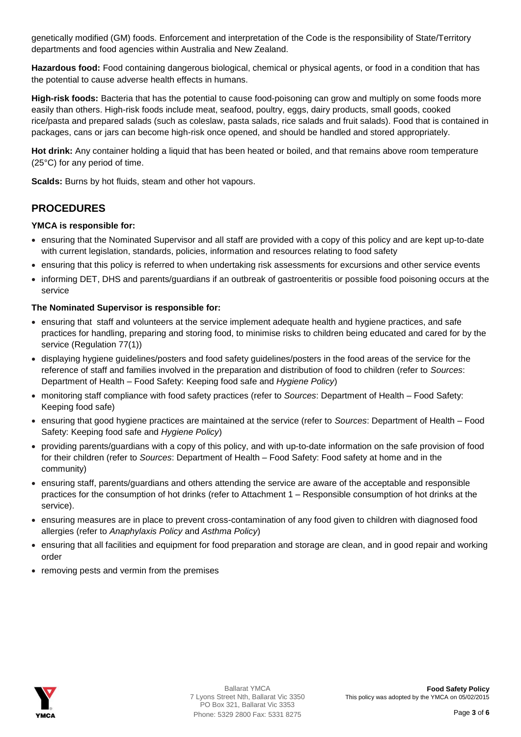genetically modified (GM) foods. Enforcement and interpretation of the Code is the responsibility of State/Territory departments and food agencies within Australia and New Zealand.

**Hazardous food:** Food containing dangerous biological, chemical or physical agents, or food in a condition that has the potential to cause adverse health effects in humans.

**High-risk foods:** Bacteria that has the potential to cause food-poisoning can grow and multiply on some foods more easily than others. High-risk foods include meat, seafood, poultry, eggs, dairy products, small goods, cooked rice/pasta and prepared salads (such as coleslaw, pasta salads, rice salads and fruit salads). Food that is contained in packages, cans or jars can become high-risk once opened, and should be handled and stored appropriately.

**Hot drink:** Any container holding a liquid that has been heated or boiled, and that remains above room temperature (25°C) for any period of time.

**Scalds:** Burns by hot fluids, steam and other hot vapours.

# **PROCEDURES**

#### **YMCA is responsible for:**

- ensuring that the Nominated Supervisor and all staff are provided with a copy of this policy and are kept up-to-date with current legislation, standards, policies, information and resources relating to food safety
- ensuring that this policy is referred to when undertaking risk assessments for excursions and other service events
- informing DET, DHS and parents/guardians if an outbreak of gastroenteritis or possible food poisoning occurs at the service

#### **The Nominated Supervisor is responsible for:**

- ensuring that staff and volunteers at the service implement adequate health and hygiene practices, and safe practices for handling, preparing and storing food, to minimise risks to children being educated and cared for by the service (Regulation 77(1))
- displaying hygiene guidelines/posters and food safety guidelines/posters in the food areas of the service for the reference of staff and families involved in the preparation and distribution of food to children (refer to *Sources*: Department of Health – Food Safety: Keeping food safe and *Hygiene Policy*)
- monitoring staff compliance with food safety practices (refer to *Sources*: Department of Health Food Safety: Keeping food safe)
- ensuring that good hygiene practices are maintained at the service (refer to *Sources*: Department of Health Food Safety: Keeping food safe and *Hygiene Policy*)
- providing parents/guardians with a copy of this policy, and with up-to-date information on the safe provision of food for their children (refer to *Sources*: Department of Health – Food Safety: Food safety at home and in the community)
- ensuring staff, parents/guardians and others attending the service are aware of the acceptable and responsible practices for the consumption of hot drinks (refer to Attachment 1 – Responsible consumption of hot drinks at the service).
- ensuring measures are in place to prevent cross-contamination of any food given to children with diagnosed food allergies (refer to *Anaphylaxis Policy* and *Asthma Policy*)
- ensuring that all facilities and equipment for food preparation and storage are clean, and in good repair and working order
- removing pests and vermin from the premises

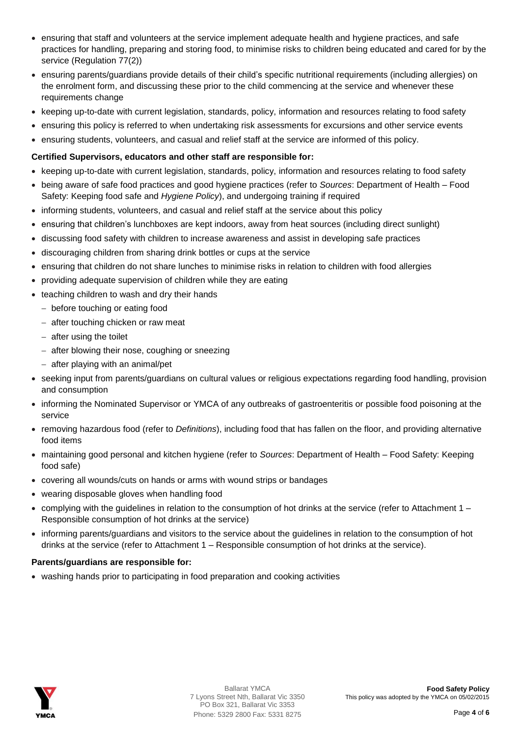- ensuring that staff and volunteers at the service implement adequate health and hygiene practices, and safe practices for handling, preparing and storing food, to minimise risks to children being educated and cared for by the service (Regulation 77(2))
- ensuring parents/guardians provide details of their child's specific nutritional requirements (including allergies) on the enrolment form, and discussing these prior to the child commencing at the service and whenever these requirements change
- keeping up-to-date with current legislation, standards, policy, information and resources relating to food safety
- ensuring this policy is referred to when undertaking risk assessments for excursions and other service events
- ensuring students, volunteers, and casual and relief staff at the service are informed of this policy.

#### **Certified Supervisors, educators and other staff are responsible for:**

- keeping up-to-date with current legislation, standards, policy, information and resources relating to food safety
- being aware of safe food practices and good hygiene practices (refer to *Sources*: Department of Health Food Safety: Keeping food safe and *Hygiene Policy*), and undergoing training if required
- informing students, volunteers, and casual and relief staff at the service about this policy
- ensuring that children's lunchboxes are kept indoors, away from heat sources (including direct sunlight)
- discussing food safety with children to increase awareness and assist in developing safe practices
- discouraging children from sharing drink bottles or cups at the service
- ensuring that children do not share lunches to minimise risks in relation to children with food allergies
- providing adequate supervision of children while they are eating
- teaching children to wash and dry their hands
	- before touching or eating food
	- $-$  after touching chicken or raw meat
	- $-$  after using the toilet
	- after blowing their nose, coughing or sneezing
	- after playing with an animal/pet
- seeking input from parents/guardians on cultural values or religious expectations regarding food handling, provision and consumption
- informing the Nominated Supervisor or YMCA of any outbreaks of gastroenteritis or possible food poisoning at the service
- removing hazardous food (refer to *Definitions*), including food that has fallen on the floor, and providing alternative food items
- maintaining good personal and kitchen hygiene (refer to *Sources*: Department of Health Food Safety: Keeping food safe)
- covering all wounds/cuts on hands or arms with wound strips or bandages
- wearing disposable gloves when handling food
- complying with the guidelines in relation to the consumption of hot drinks at the service (refer to Attachment 1 Responsible consumption of hot drinks at the service)
- informing parents/guardians and visitors to the service about the guidelines in relation to the consumption of hot drinks at the service (refer to Attachment 1 – Responsible consumption of hot drinks at the service).

#### **Parents/guardians are responsible for:**

• washing hands prior to participating in food preparation and cooking activities

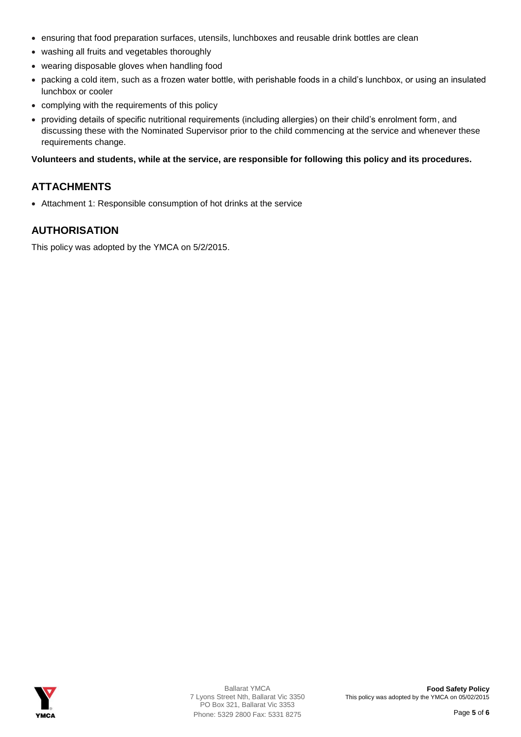- ensuring that food preparation surfaces, utensils, lunchboxes and reusable drink bottles are clean
- washing all fruits and vegetables thoroughly
- wearing disposable gloves when handling food
- packing a cold item, such as a frozen water bottle, with perishable foods in a child's lunchbox, or using an insulated lunchbox or cooler
- complying with the requirements of this policy
- providing details of specific nutritional requirements (including allergies) on their child's enrolment form, and discussing these with the Nominated Supervisor prior to the child commencing at the service and whenever these requirements change.

#### **Volunteers and students, while at the service, are responsible for following this policy and its procedures.**

# **ATTACHMENTS**

Attachment 1: Responsible consumption of hot drinks at the service

# **AUTHORISATION**

This policy was adopted by the YMCA on 5/2/2015.